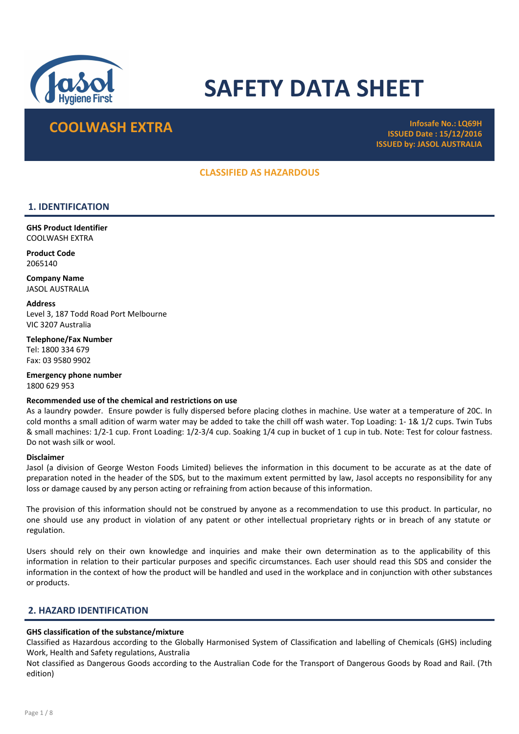

# SAFETY DATA SHEET

## COOLWASH EXTRA **Infosafe No.: LQ69H**

ISSUED Date : 15/12/2016 ISSUED by: JASOL AUSTRALIA

## CLASSIFIED AS HAZARDOUS

## 1. IDENTIFICATION

GHS Product Identifier COOLWASH EXTRA

Product Code 2065140

Company Name JASOL AUSTRALIA

**Address** Level 3, 187 Todd Road Port Melbourne VIC 3207 Australia

Telephone/Fax Number Tel: 1800 334 679 Fax: 03 9580 9902

Emergency phone number 1800 629 953

## Recommended use of the chemical and restrictions on use

As a laundry powder. Ensure powder is fully dispersed before placing clothes in machine. Use water at a temperature of 20C. In cold months a small adition of warm water may be added to take the chill off wash water. Top Loading: 1- 1& 1/2 cups. Twin Tubs & small machines: 1/2-1 cup. Front Loading: 1/2-3/4 cup. Soaking 1/4 cup in bucket of 1 cup in tub. Note: Test for colour fastness. Do not wash silk or wool.

#### Disclaimer

Jasol (a division of George Weston Foods Limited) believes the information in this document to be accurate as at the date of preparation noted in the header of the SDS, but to the maximum extent permitted by law, Jasol accepts no responsibility for any loss or damage caused by any person acting or refraining from action because of this information.

The provision of this information should not be construed by anyone as a recommendation to use this product. In particular, no one should use any product in violation of any patent or other intellectual proprietary rights or in breach of any statute or regulation.

Users should rely on their own knowledge and inquiries and make their own determination as to the applicability of this information in relation to their particular purposes and specific circumstances. Each user should read this SDS and consider the information in the context of how the product will be handled and used in the workplace and in conjunction with other substances or products.

## 2. HAZARD IDENTIFICATION

## GHS classification of the substance/mixture

Classified as Hazardous according to the Globally Harmonised System of Classification and labelling of Chemicals (GHS) including Work, Health and Safety regulations, Australia

Not classified as Dangerous Goods according to the Australian Code for the Transport of Dangerous Goods by Road and Rail. (7th edition)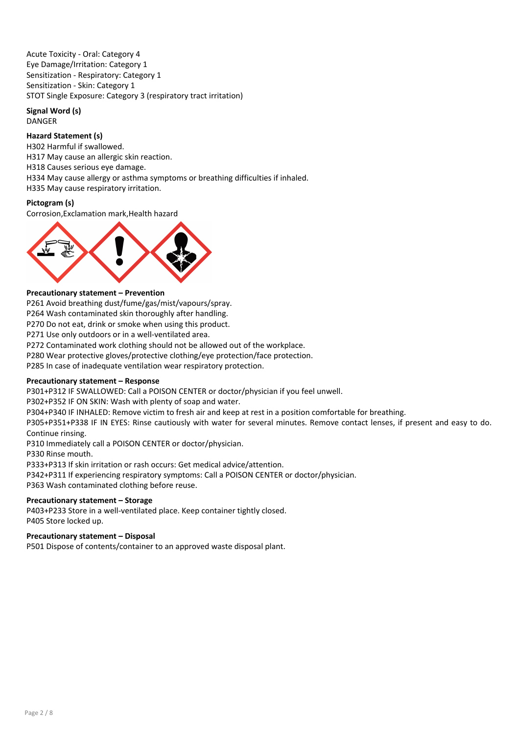Acute Toxicity - Oral: Category 4 Eye Damage/Irritation: Category 1 Sensitization - Respiratory: Category 1 Sensitization - Skin: Category 1 STOT Single Exposure: Category 3 (respiratory tract irritation)

## Signal Word (s) DANGER

## Hazard Statement (s)

H302 Harmful if swallowed. H317 May cause an allergic skin reaction. H318 Causes serious eye damage. H334 May cause allergy or asthma symptoms or breathing difficulties if inhaled. H335 May cause respiratory irritation.

## Pictogram (s)

Corrosion,Exclamation mark,Health hazard



## Precautionary statement – Prevention

P261 Avoid breathing dust/fume/gas/mist/vapours/spray.

P264 Wash contaminated skin thoroughly after handling.

P270 Do not eat, drink or smoke when using this product.

P271 Use only outdoors or in a well-ventilated area.

P272 Contaminated work clothing should not be allowed out of the workplace.

P280 Wear protective gloves/protective clothing/eye protection/face protection.

P285 In case of inadequate ventilation wear respiratory protection.

## Precautionary statement – Response

P301+P312 IF SWALLOWED: Call a POISON CENTER or doctor/physician if you feel unwell.

P302+P352 IF ON SKIN: Wash with plenty of soap and water.

P304+P340 IF INHALED: Remove victim to fresh air and keep at rest in a position comfortable for breathing.

P305+P351+P338 IF IN EYES: Rinse cautiously with water for several minutes. Remove contact lenses, if present and easy to do. Continue rinsing.

P310 Immediately call a POISON CENTER or doctor/physician.

P330 Rinse mouth.

P333+P313 If skin irritation or rash occurs: Get medical advice/attention.

P342+P311 If experiencing respiratory symptoms: Call a POISON CENTER or doctor/physician.

P363 Wash contaminated clothing before reuse.

## Precautionary statement – Storage

P403+P233 Store in a well-ventilated place. Keep container tightly closed. P405 Store locked up.

## Precautionary statement – Disposal

P501 Dispose of contents/container to an approved waste disposal plant.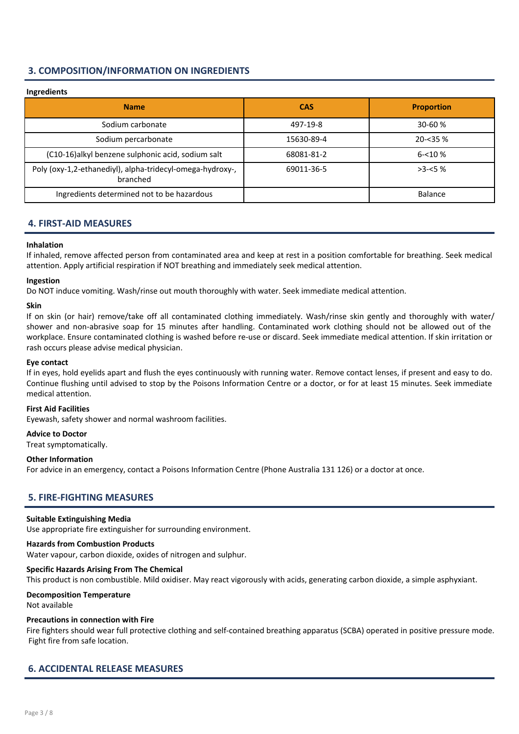## 3. COMPOSITION/INFORMATION ON INGREDIENTS

## Ingredients

| $11151$ cores to                                                      |            |                   |
|-----------------------------------------------------------------------|------------|-------------------|
| <b>Name</b>                                                           | <b>CAS</b> | <b>Proportion</b> |
| Sodium carbonate                                                      | 497-19-8   | $30 - 60%$        |
| Sodium percarbonate                                                   | 15630-89-4 | $20 - 35%$        |
| (C10-16)alkyl benzene sulphonic acid, sodium salt                     | 68081-81-2 | $6 - 10%$         |
| Poly (oxy-1,2-ethanediyl), alpha-tridecyl-omega-hydroxy-,<br>branched | 69011-36-5 | $>3 - 5%$         |
| Ingredients determined not to be hazardous                            |            | <b>Balance</b>    |

## 4. FIRST-AID MEASURES

## Inhalation

If inhaled, remove affected person from contaminated area and keep at rest in a position comfortable for breathing. Seek medical attention. Apply artificial respiration if NOT breathing and immediately seek medical attention.

## Ingestion

Do NOT induce vomiting. Wash/rinse out mouth thoroughly with water. Seek immediate medical attention.

## Skin

If on skin (or hair) remove/take off all contaminated clothing immediately. Wash/rinse skin gently and thoroughly with water/ shower and non-abrasive soap for 15 minutes after handling. Contaminated work clothing should not be allowed out of the workplace. Ensure contaminated clothing is washed before re-use or discard. Seek immediate medical attention. If skin irritation or rash occurs please advise medical physician.

#### Eye contact

If in eyes, hold eyelids apart and flush the eyes continuously with running water. Remove contact lenses, if present and easy to do. Continue flushing until advised to stop by the Poisons Information Centre or a doctor, or for at least 15 minutes. Seek immediate medical attention.

#### First Aid Facilities

Eyewash, safety shower and normal washroom facilities.

#### Advice to Doctor

Treat symptomatically.

## Other Information

For advice in an emergency, contact a Poisons Information Centre (Phone Australia 131 126) or a doctor at once.

## 5. FIRE-FIGHTING MEASURES

## Suitable Extinguishing Media

Use appropriate fire extinguisher for surrounding environment.

## Hazards from Combustion Products

Water vapour, carbon dioxide, oxides of nitrogen and sulphur.

#### Specific Hazards Arising From The Chemical

This product is non combustible. Mild oxidiser. May react vigorously with acids, generating carbon dioxide, a simple asphyxiant.

## Decomposition Temperature

Not available

## Precautions in connection with Fire

Fire fighters should wear full protective clothing and self-contained breathing apparatus (SCBA) operated in positive pressure mode. Fight fire from safe location.

## 6. ACCIDENTAL RELEASE MEASURES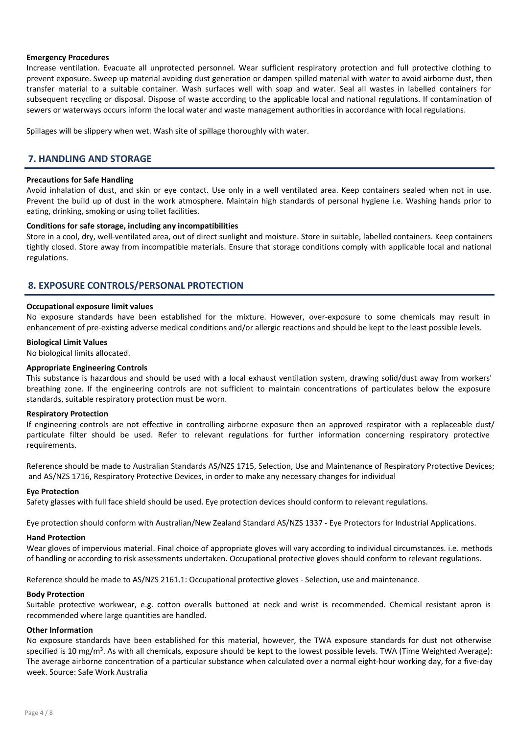## Emergency Procedures

Increase ventilation. Evacuate all unprotected personnel. Wear sufficient respiratory protection and full protective clothing to prevent exposure. Sweep up material avoiding dust generation or dampen spilled material with water to avoid airborne dust, then transfer material to a suitable container. Wash surfaces well with soap and water. Seal all wastes in labelled containers for subsequent recycling or disposal. Dispose of waste according to the applicable local and national regulations. If contamination of sewers or waterways occurs inform the local water and waste management authorities in accordance with local regulations.

Spillages will be slippery when wet. Wash site of spillage thoroughly with water.

## 7. HANDLING AND STORAGE

#### Precautions for Safe Handling

Avoid inhalation of dust, and skin or eye contact. Use only in a well ventilated area. Keep containers sealed when not in use. Prevent the build up of dust in the work atmosphere. Maintain high standards of personal hygiene i.e. Washing hands prior to eating, drinking, smoking or using toilet facilities.

#### Conditions for safe storage, including any incompatibilities

Store in a cool, dry, well-ventilated area, out of direct sunlight and moisture. Store in suitable, labelled containers. Keep containers tightly closed. Store away from incompatible materials. Ensure that storage conditions comply with applicable local and national regulations.

## 8. EXPOSURE CONTROLS/PERSONAL PROTECTION

#### Occupational exposure limit values

No exposure standards have been established for the mixture. However, over-exposure to some chemicals may result in enhancement of pre-existing adverse medical conditions and/or allergic reactions and should be kept to the least possible levels.

#### Biological Limit Values

No biological limits allocated.

#### Appropriate Engineering Controls

This substance is hazardous and should be used with a local exhaust ventilation system, drawing solid/dust away from workers' breathing zone. If the engineering controls are not sufficient to maintain concentrations of particulates below the exposure standards, suitable respiratory protection must be worn.

#### Respiratory Protection

If engineering controls are not effective in controlling airborne exposure then an approved respirator with a replaceable dust/ particulate filter should be used. Refer to relevant regulations for further information concerning respiratory protective requirements.

Reference should be made to Australian Standards AS/NZS 1715, Selection, Use and Maintenance of Respiratory Protective Devices; and AS/NZS 1716, Respiratory Protective Devices, in order to make any necessary changes for individual

#### Eye Protection

Safety glasses with full face shield should be used. Eye protection devices should conform to relevant regulations.

Eye protection should conform with Australian/New Zealand Standard AS/NZS 1337 - Eye Protectors for Industrial Applications.

#### Hand Protection

Wear gloves of impervious material. Final choice of appropriate gloves will vary according to individual circumstances. i.e. methods of handling or according to risk assessments undertaken. Occupational protective gloves should conform to relevant regulations.

Reference should be made to AS/NZS 2161.1: Occupational protective gloves - Selection, use and maintenance.

#### Body Protection

Suitable protective workwear, e.g. cotton overalls buttoned at neck and wrist is recommended. Chemical resistant apron is recommended where large quantities are handled.

## Other Information

No exposure standards have been established for this material, however, the TWA exposure standards for dust not otherwise specified is 10 mg/m<sup>3</sup>. As with all chemicals, exposure should be kept to the lowest possible levels. TWA (Time Weighted Average): The average airborne concentration of a particular substance when calculated over a normal eight-hour working day, for a five-day week. Source: Safe Work Australia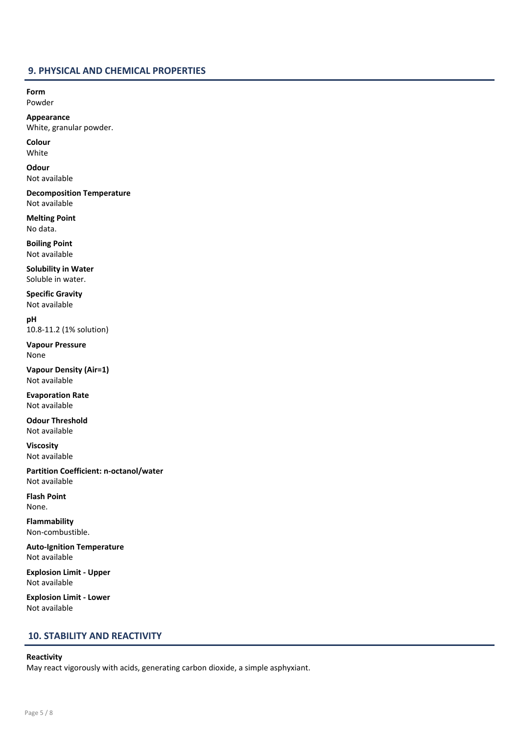## 9. PHYSICAL AND CHEMICAL PROPERTIES

Form Powder

Appearance White, granular powder.

Colour White

**Odour** Not available

Decomposition Temperature Not available

Melting Point No data.

Boiling Point Not available

Solubility in Water Soluble in water.

Specific Gravity Not available

pH 10.8-11.2 (1% solution)

Vapour Pressure None

Vapour Density (Air=1) Not available

Evaporation Rate Not available

Odour Threshold Not available

Viscosity Not available

Partition Coefficient: n-octanol/water Not available

Flash Point None.

Flammability Non-combustible.

Auto-Ignition Temperature Not available

Explosion Limit - Upper Not available

Explosion Limit - Lower Not available

## 10. STABILITY AND REACTIVITY

## Reactivity

May react vigorously with acids, generating carbon dioxide, a simple asphyxiant.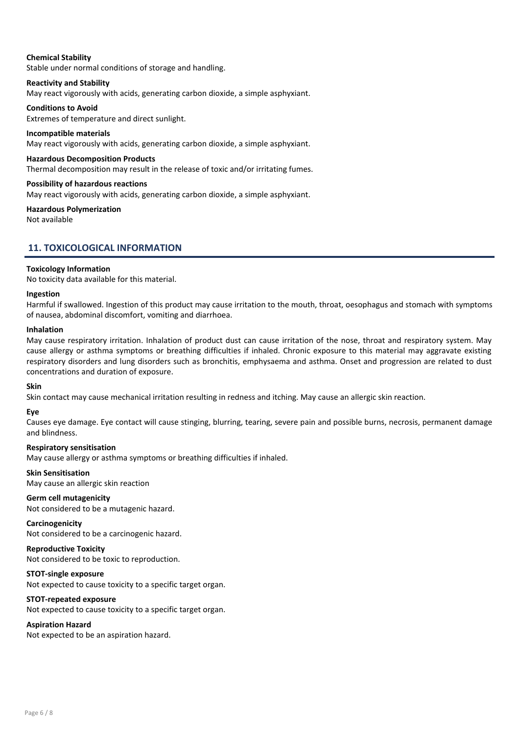## Chemical Stability

Stable under normal conditions of storage and handling.

## Reactivity and Stability

May react vigorously with acids, generating carbon dioxide, a simple asphyxiant.

## Conditions to Avoid

Extremes of temperature and direct sunlight.

## Incompatible materials

May react vigorously with acids, generating carbon dioxide, a simple asphyxiant.

## Hazardous Decomposition Products

Thermal decomposition may result in the release of toxic and/or irritating fumes.

#### Possibility of hazardous reactions

May react vigorously with acids, generating carbon dioxide, a simple asphyxiant.

## Hazardous Polymerization

Not available

## 11. TOXICOLOGICAL INFORMATION

## Toxicology Information

No toxicity data available for this material.

#### Ingestion

Harmful if swallowed. Ingestion of this product may cause irritation to the mouth, throat, oesophagus and stomach with symptoms of nausea, abdominal discomfort, vomiting and diarrhoea.

#### Inhalation

May cause respiratory irritation. Inhalation of product dust can cause irritation of the nose, throat and respiratory system. May cause allergy or asthma symptoms or breathing difficulties if inhaled. Chronic exposure to this material may aggravate existing respiratory disorders and lung disorders such as bronchitis, emphysaema and asthma. Onset and progression are related to dust concentrations and duration of exposure.

#### Skin

Skin contact may cause mechanical irritation resulting in redness and itching. May cause an allergic skin reaction.

## Eye

Causes eye damage. Eye contact will cause stinging, blurring, tearing, severe pain and possible burns, necrosis, permanent damage and blindness.

#### Respiratory sensitisation

May cause allergy or asthma symptoms or breathing difficulties if inhaled.

## Skin Sensitisation

May cause an allergic skin reaction

#### Germ cell mutagenicity

Not considered to be a mutagenic hazard.

## Carcinogenicity

Not considered to be a carcinogenic hazard.

#### Reproductive Toxicity Not considered to be toxic to reproduction.

STOT-single exposure

Not expected to cause toxicity to a specific target organ.

## STOT-repeated exposure

Not expected to cause toxicity to a specific target organ.

## Aspiration Hazard

Not expected to be an aspiration hazard.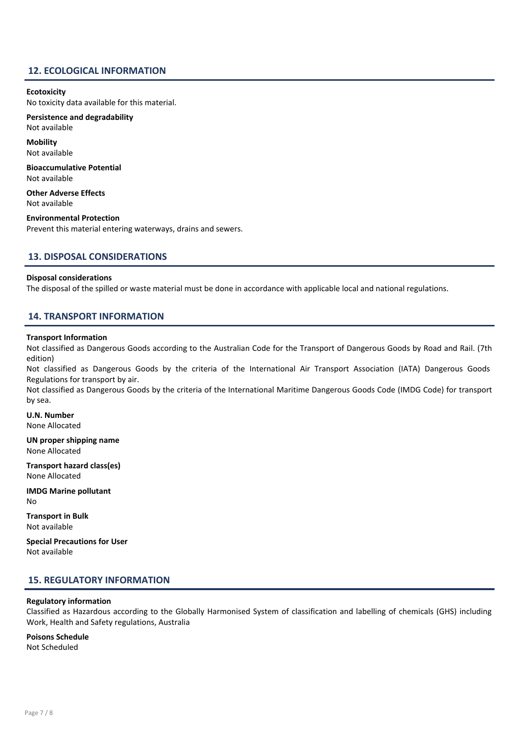## 12. ECOLOGICAL INFORMATION

#### **Ecotoxicity**

No toxicity data available for this material.

Persistence and degradability Not available

Mobility Not available

Bioaccumulative Potential Not available

Other Adverse Effects Not available

Environmental Protection Prevent this material entering waterways, drains and sewers.

## 13. DISPOSAL CONSIDERATIONS

#### Disposal considerations

The disposal of the spilled or waste material must be done in accordance with applicable local and national regulations.

## 14. TRANSPORT INFORMATION

## Transport Information

Not classified as Dangerous Goods according to the Australian Code for the Transport of Dangerous Goods by Road and Rail. (7th edition)

Not classified as Dangerous Goods by the criteria of the International Air Transport Association (IATA) Dangerous Goods Regulations for transport by air.

Not classified as Dangerous Goods by the criteria of the International Maritime Dangerous Goods Code (IMDG Code) for transport by sea.

U.N. Number None Allocated

UN proper shipping name None Allocated

Transport hazard class(es) None Allocated

IMDG Marine pollutant No

Transport in Bulk Not available

Special Precautions for User Not available

## 15. REGULATORY INFORMATION

#### Regulatory information

Classified as Hazardous according to the Globally Harmonised System of classification and labelling of chemicals (GHS) including Work, Health and Safety regulations, Australia

Poisons Schedule Not Scheduled